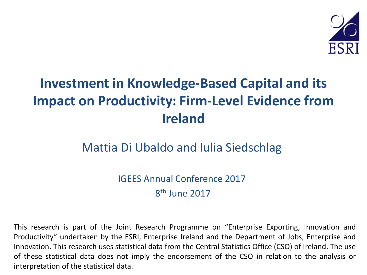

### **Investment in Knowledge-Based Capital and its Impact on Productivity: Firm-Level Evidence from Ireland**

### Mattia Di Ubaldo and Iulia Siedschlag

IGEES Annual Conference 2017 8<sup>th</sup> June 2017

This research is part of the Joint Research Programme on "Enterprise Exporting, Innovation and Productivity" undertaken by the ESRI, Enterprise Ireland and the Department of Jobs, Enterprise and Innovation. This research uses statistical data from the Central Statistics Office (CSO) of Ireland. The use of these statistical data does not imply the endorsement of the CSO in relation to the analysis or interpretation of the statistical data.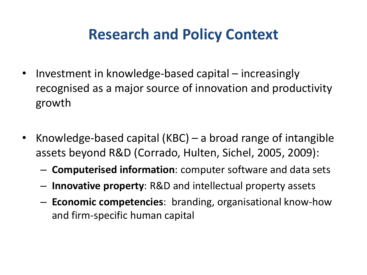### **Research and Policy Context**

- Investment in knowledge-based capital increasingly recognised as a major source of innovation and productivity growth
- Knowledge-based capital (KBC) a broad range of intangible assets beyond R&D (Corrado, Hulten, Sichel, 2005, 2009):
	- **Computerised information**: computer software and data sets
	- **Innovative property**: R&D and intellectual property assets
	- **Economic competencies**: branding, organisational know-how and firm-specific human capital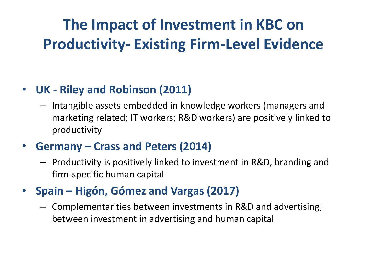## **The Impact of Investment in KBC on Productivity- Existing Firm-Level Evidence**

### • **UK - Riley and Robinson (2011)**

- Intangible assets embedded in knowledge workers (managers and marketing related; IT workers; R&D workers) are positively linked to productivity
- **Germany – Crass and Peters (2014)** 
	- Productivity is positively linked to investment in R&D, branding and firm-specific human capital
- **Spain – Higón, Gómez and Vargas (2017)**
	- Complementarities between investments in R&D and advertising; between investment in advertising and human capital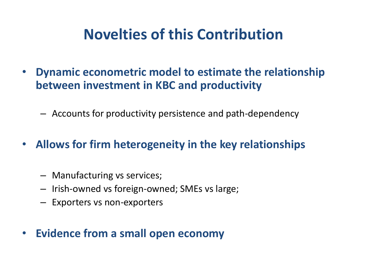### **Novelties of this Contribution**

- **Dynamic econometric model to estimate the relationship between investment in KBC and productivity** 
	- Accounts for productivity persistence and path-dependency
- **Allows for firm heterogeneity in the key relationships** 
	- Manufacturing vs services;
	- Irish-owned vs foreign-owned; SMEs vs large;
	- Exporters vs non-exporters
- **Evidence from a small open economy**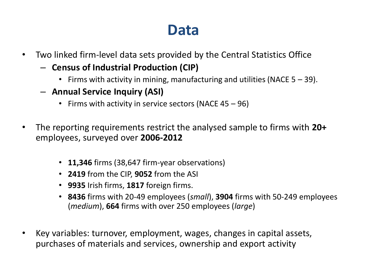### **Data**

- Two linked firm-level data sets provided by the Central Statistics Office
	- **Census of Industrial Production (CIP)**
		- Firms with activity in mining, manufacturing and utilities (NACE  $5 39$ ).
	- **Annual Service Inquiry (ASI)**
		- Firms with activity in service sectors (NACE 45 96)
- The reporting requirements restrict the analysed sample to firms with **20+**  employees, surveyed over **2006-2012**
	- **11,346** firms (38,647 firm-year observations)
	- **2419** from the CIP, **9052** from the ASI
	- **9935** Irish firms, **1817** foreign firms.
	- **8436** firms with 20-49 employees (*small*), **3904** firms with 50-249 employees (*medium*), **664** firms with over 250 employees (*large*)
- Key variables: turnover, employment, wages, changes in capital assets, purchases of materials and services, ownership and export activity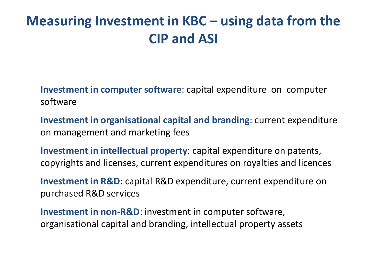### **Measuring Investment in KBC – using data from the CIP and ASI**

**Investment in computer software**: capital expenditure on computer software

**Investment in organisational capital and branding**: current expenditure on management and marketing fees

**Investment in intellectual property**: capital expenditure on patents, copyrights and licenses, current expenditures on royalties and licences

**Investment in R&D**: capital R&D expenditure, current expenditure on purchased R&D services

**Investment in non-R&D**: investment in computer software, organisational capital and branding, intellectual property assets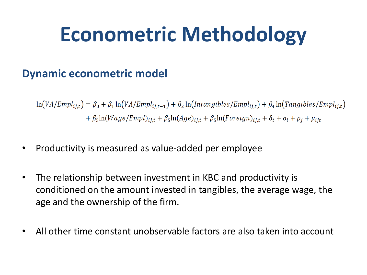# **Econometric Methodology**

### **Dynamic econometric model**

 $\ln(VA/Empl_{ij,t}) = \beta_0 + \beta_1 \ln(VA/Empl_{ij,t-1}) + \beta_2 \ln(Intangibles/Empl_{ij,t}) + \beta_4 \ln(Tangibles/Empl_{ij,t})$  $+\beta_5\ln(Wage/Empl)_{i,i,t} + \beta_5\ln(Age)_{i,i,t} + \beta_5\ln( Foreign)_{i,i,t} + \delta_t + \sigma_i + \rho_i + \mu_{i,t}$ 

- Productivity is measured as value-added per employee
- The relationship between investment in KBC and productivity is conditioned on the amount invested in tangibles, the average wage, the age and the ownership of the firm.
- All other time constant unobservable factors are also taken into account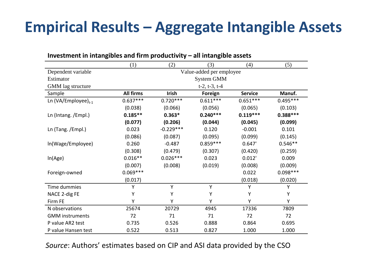## **Empirical Results – Aggregate Intangible Assets**

| Investment in intangibles and firm productivity $-$ all intangible assets |                          |              |            |                |            |  |  |  |
|---------------------------------------------------------------------------|--------------------------|--------------|------------|----------------|------------|--|--|--|
|                                                                           | (1)                      | (2)          | (3)<br>(4) |                | (5)        |  |  |  |
| Dependent variable                                                        | Value-added per employee |              |            |                |            |  |  |  |
| Estimator                                                                 | System GMM               |              |            |                |            |  |  |  |
| GMM lag structure                                                         | $t-2$ , $t-3$ , $t-4$    |              |            |                |            |  |  |  |
| Sample                                                                    | <b>All firms</b>         | <b>Irish</b> | Foreign    | <b>Service</b> | Manuf.     |  |  |  |
| Ln (VA/Employee) <sub>t-1</sub>                                           | $0.637***$               | $0.720***$   | $0.611***$ | $0.651***$     | $0.495***$ |  |  |  |
|                                                                           | (0.038)                  | (0.066)      | (0.056)    | (0.065)        | (0.103)    |  |  |  |
| Ln (Intang. /Empl.)                                                       | $0.185**$                | $0.363*$     | $0.240***$ | $0.119***$     | $0.388***$ |  |  |  |
|                                                                           | (0.077)                  | (0.206)      | (0.044)    | (0.045)        | (0.099)    |  |  |  |
| Ln (Tang. /Empl.)                                                         | 0.023                    | $-0.229***$  | 0.120      | $-0.001$       | 0.101      |  |  |  |
|                                                                           | (0.086)                  | (0.087)      | (0.095)    | (0.099)        | (0.145)    |  |  |  |
| In(Wage/Employee)                                                         | 0.260                    | $-0.487$     | $0.859***$ | 0.647'         | $0.546**$  |  |  |  |
|                                                                           | (0.308)                  | (0.479)      | (0.307)    | (0.420)        | (0.259)    |  |  |  |
| In(Age)                                                                   | $0.016**$                | $0.026***$   | 0.023      | 0.012'         | 0.009      |  |  |  |
|                                                                           | (0.007)                  | (0.008)      | (0.019)    | (0.008)        | (0.009)    |  |  |  |
| Foreign-owned                                                             | $0.069***$               |              |            | 0.022          | $0.098***$ |  |  |  |
|                                                                           | (0.017)                  |              |            | (0.018)        | (0.020)    |  |  |  |
| Time dummies                                                              | Y                        | Υ            | Y          | Υ              | Υ          |  |  |  |
| NACE 2-dig FE                                                             | Υ                        | Υ            | Υ          | Υ              | Υ          |  |  |  |
| Firm FE                                                                   | Y                        | Υ            | Y          | Υ              | Y          |  |  |  |
| N observations                                                            | 25674                    | 20729        | 4945       | 17336          | 7809       |  |  |  |
| <b>GMM</b> instruments                                                    | 72                       | 71           | 71         | 72             | 72         |  |  |  |
| P value AR2 test                                                          | 0.735                    | 0.526        | 0.888      | 0.864          | 0.695      |  |  |  |
| P value Hansen test                                                       | 0.522                    | 0.513        | 0.827      | 1.000          | 1.000      |  |  |  |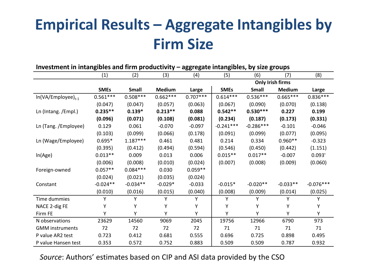## **Empirical Results – Aggregate Intangibles by Firm Size**

#### **Investment in intangibles and firm productivity – aggregate intangibles, by size groups**

|                         | (1)         | (2)        | (3)           | (4)        | (5)                     | (6)          | (7)           | (8)         |
|-------------------------|-------------|------------|---------------|------------|-------------------------|--------------|---------------|-------------|
|                         |             |            |               |            | <b>Only Irish firms</b> |              |               |             |
|                         | <b>SMEs</b> | Small      | <b>Medium</b> | Large      | <b>SMEs</b>             | <b>Small</b> | <b>Medium</b> | Large       |
| $ln(VA/Employee)_{t-1}$ | $0.561***$  | $0.508***$ | $0.662***$    | $0.707***$ | $0.614***$              | $0.536***$   | $0.665***$    | $0.836***$  |
|                         | (0.047)     | (0.047)    | (0.057)       | (0.063)    | (0.067)                 | (0.090)      | (0.070)       | (0.138)     |
| Ln (Intang. /Empl.)     | $0.235**$   | $0.139*$   | $0.213**$     | 0.088      | $0.542**$               | $0.530***$   | 0.227         | 0.199       |
|                         | (0.096)     | (0.071)    | (0.108)       | (0.081)    | (0.234)                 | (0.187)      | (0.173)       | (0.331)     |
| Ln (Tang. /Employee)    | 0.129       | 0.061      | $-0.070$      | $-0.097$   | $-0.241***$             | $-0.286***$  | $-0.101$      | $-0.046$    |
|                         | (0.103)     | (0.099)    | (0.066)       | (0.178)    | (0.091)                 | (0.099)      | (0.077)       | (0.095)     |
| Ln (Wage/Employee)      | $0.695*$    | $1.187***$ | 0.461         | 0.481      | 0.214                   | 0.334        | $0.960**$     | $-0.323$    |
|                         | (0.395)     | (0.412)    | (0.494)       | (0.594)    | (0.546)                 | (0.450)      | (0.442)       | (1.151)     |
| In(Age)                 | $0.013**$   | 0.009      | 0.013         | 0.006      | $0.015**$               | $0.017**$    | $-0.007$      | 0.093'      |
|                         | (0.006)     | (0.008)    | (0.010)       | (0.024)    | (0.007)                 | (0.008)      | (0.009)       | (0.060)     |
| Foreign-owned           | $0.057**$   | $0.084***$ | 0.030         | $0.059**$  |                         |              |               |             |
|                         | (0.024)     | (0.021)    | (0.035)       | (0.024)    |                         |              |               |             |
| Constant                | $-0.024**$  | $-0.034**$ | $-0.029*$     | $-0.033$   | $-0.015*$               | $-0.020**$   | $-0.033**$    | $-0.076***$ |
|                         | (0.010)     | (0.016)    | (0.015)       | (0.040)    | (0.008)                 | (0.009)      | (0.014)       | (0.025)     |
| Time dummies            | Υ           | Υ          | Υ             | Υ          | Υ                       | Υ            | Y             | Y           |
| NACE 2-dig FE           | Υ           | Υ          | Y             | Υ          | Υ                       | Υ            | Y             | Y           |
| Firm FE                 | Υ           | Υ          | Υ             | Υ          | Υ                       | Υ            | Υ             | Υ           |
| N observations          | 23629       | 14560      | 9069          | 2045       | 19756                   | 12966        | 6790          | 973         |
| <b>GMM</b> instruments  | 72          | 72         | 72            | 72         | 71                      | 71           | 71            | 71          |
| P value AR2 test        | 0.723       | 0.412      | 0.681         | 0.555      | 0.696                   | 0.725        | 0.898         | 0.495       |
| P value Hansen test     | 0.353       | 0.572      | 0.752         | 0.883      | 0.509                   | 0.509        | 0.787         | 0.932       |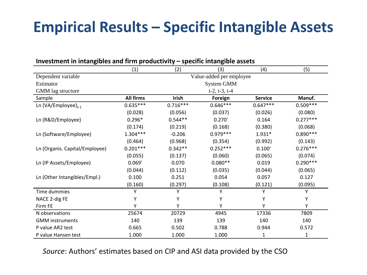### **Empirical Results – Specific Intangible Assets**

| mesunent in mangibies and min productivity<br><b>SPECIFIC IFICATIONE ASSELS</b> |                          |            |                |                |            |  |  |  |  |
|---------------------------------------------------------------------------------|--------------------------|------------|----------------|----------------|------------|--|--|--|--|
|                                                                                 | (1)                      | (2)        | (3)            | (4)            | (5)        |  |  |  |  |
| Dependent variable                                                              | Value-added per employee |            |                |                |            |  |  |  |  |
| Estimator                                                                       | System GMM               |            |                |                |            |  |  |  |  |
| GMM lag structure                                                               | $t-2$ , $t-3$ , $t-4$    |            |                |                |            |  |  |  |  |
| Sample                                                                          | <b>All firms</b>         | Irish      | Foreign        | <b>Service</b> | Manuf.     |  |  |  |  |
| Ln (VA/Employee) $_{t-1}$                                                       | $0.635***$               | $0.716***$ | $0.646***$     | $0.647***$     | $0.509***$ |  |  |  |  |
|                                                                                 | (0.028)                  | (0.056)    | (0.037)        | (0.026)        | (0.080)    |  |  |  |  |
| Ln (R&D/Employee)                                                               | $0.296*$                 | $0.544**$  | 0.270'         | 0.164          | $0.277***$ |  |  |  |  |
|                                                                                 | (0.174)                  | (0.219)    | (0.168)        | (0.380)        | (0.068)    |  |  |  |  |
| Ln (Software/Employee)                                                          | $1.304***$               | $-0.206$   | $0.979***$     | $1.931*$       | $0.890***$ |  |  |  |  |
|                                                                                 | (0.464)                  | (0.968)    | (0.354)        | (0.992)        | (0.143)    |  |  |  |  |
| Ln (Organis. Capital/Employee)                                                  | $0.201***$               | $0.342**$  | $0.252***$     | 0.100'         | $0.276***$ |  |  |  |  |
|                                                                                 | (0.055)                  | (0.137)    | (0.060)        | (0.065)        | (0.074)    |  |  |  |  |
| Ln (IP Assets/Employee)                                                         | 0.069'                   | 0.070      | $0.080**$      | 0.019          | $0.290***$ |  |  |  |  |
|                                                                                 | (0.044)                  | (0.112)    | (0.035)        | (0.044)        | (0.065)    |  |  |  |  |
| Ln (Other Intangibles/Empl.)                                                    | 0.100                    | 0.251      | 0.057<br>0.054 |                | 0.127      |  |  |  |  |
|                                                                                 | (0.160)                  | (0.297)    | (0.108)        | (0.121)        | (0.095)    |  |  |  |  |
| Time dummies                                                                    | γ                        | Υ          | Υ              | Υ              | Υ          |  |  |  |  |
| NACE 2-dig FE                                                                   |                          | Υ          |                | Υ              | Υ          |  |  |  |  |
| Firm FE                                                                         | ν                        | γ          | γ              | Υ              | Υ          |  |  |  |  |
| N observations                                                                  | 25674                    | 20729      | 4945           | 17336          | 7809       |  |  |  |  |
| <b>GMM</b> instruments                                                          | 140                      | 139        | 139            | 140            | 140        |  |  |  |  |
| P value AR2 test                                                                | 0.665                    | 0.502      | 0.788          | 0.944          | 0.572      |  |  |  |  |
| P value Hansen test                                                             | 1.000                    | 1.000      | 1.000          | 1              | 1          |  |  |  |  |

#### **Investment in intangibles and firm productivity – specific intangible assets**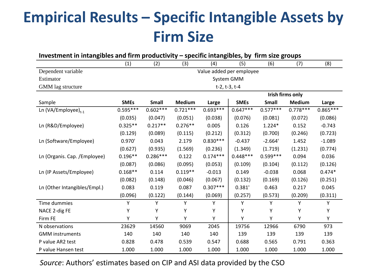## **Empirical Results – Specific Intangible Assets by Firm Size**

| Investment in intangibles and firm productivity - specific intangibles, by firm size groups |                          |              |               |            |               |              |                         |            |
|---------------------------------------------------------------------------------------------|--------------------------|--------------|---------------|------------|---------------|--------------|-------------------------|------------|
|                                                                                             | (1)                      | (2)          | (3)           | (4)        | (5)           | (6)          | (7)                     | (8)        |
| Dependent variable                                                                          | Value added per employee |              |               |            |               |              |                         |            |
| Estimator                                                                                   |                          |              |               |            | System GMM    |              |                         |            |
| GMM lag structure                                                                           |                          |              |               |            | t-2, t-3, t-4 |              |                         |            |
|                                                                                             |                          |              |               |            |               |              | <b>Irish firms only</b> |            |
| Sample                                                                                      | <b>SMEs</b>              | <b>Small</b> | <b>Medium</b> | Large      | <b>SMEs</b>   | <b>Small</b> | <b>Medium</b>           | Large      |
| Ln (VA/Employee) $_{t-1}$                                                                   | $0.595***$               | $0.602***$   | $0.721***$    | $0.693***$ | $0.647***$    | $0.577***$   | $0.778***$              | $0.865***$ |
|                                                                                             | (0.035)                  | (0.047)      | (0.051)       | (0.038)    | (0.076)       | (0.081)      | (0.072)                 | (0.086)    |
| Ln (R&D/Employee)                                                                           | $0.325**$                | $0.217**$    | $0.276**$     | 0.005      | 0.126         | $1.224*$     | 0.152                   | $-0.743$   |
|                                                                                             | (0.129)                  | (0.089)      | (0.115)       | (0.212)    | (0.312)       | (0.700)      | (0.246)                 | (0.723)    |
| Ln (Software/Employee)                                                                      | 0.970'                   | 0.043        | 2.179         | $0.830***$ | $-0.437$      | $-2.664'$    | 1.452                   | $-1.089$   |
|                                                                                             | (0.627)                  | (0.935)      | (1.569)       | (0.236)    | (1.349)       | (1.719)      | (1.231)                 | (0.774)    |
| Ln (Organis. Cap. / Employee)                                                               | $0.196**$                | $0.286***$   | 0.122         | $0.174***$ | $0.448***$    | $0.599***$   | 0.094                   | 0.036      |
|                                                                                             | (0.087)                  | (0.086)      | (0.095)       | (0.053)    | (0.109)       | (0.104)      | (0.112)                 | (0.126)    |
| Ln (IP Assets/Employee)                                                                     | $0.168**$                | 0.114        | $0.119**$     | $-0.013$   | 0.149         | $-0.038$     | 0.068                   | $0.474*$   |
|                                                                                             | (0.082)                  | (0.148)      | (0.046)       | (0.067)    | (0.132)       | (0.169)      | (0.126)                 | (0.251)    |
| Ln (Other Intangibles/Empl.)                                                                | 0.083                    | 0.119        | 0.087         | $0.307***$ | 0.381'        | 0.463        | 0.217                   | 0.045      |
|                                                                                             | (0.096)                  | (0.122)      | (0.144)       | (0.069)    | (0.257)       | (0.573)      | (0.209)                 | (0.311)    |
| Time dummies                                                                                | Υ                        | Υ            | Y             | Υ          | Υ             | Y            | Y                       | Υ          |
| NACE 2-dig FE                                                                               | Υ                        | Y            | Υ             | Υ          | Υ             | Y            | Υ                       | Υ          |
| Firm FE                                                                                     | Υ                        | Υ            | Y             | Υ          | Υ             | Υ            | Υ                       | Y          |
| N observations                                                                              | 23629                    | 14560        | 9069          | 2045       | 19756         | 12966        | 6790                    | 973        |
| <b>GMM</b> instruments                                                                      | 140                      | 140          | 140           | 140        | 139           | 139          | 139                     | 139        |
| P value AR2 test                                                                            | 0.828                    | 0.478        | 0.539         | 0.547      | 0.688         | 0.565        | 0.791                   | 0.363      |
| P value Hansen test                                                                         | 1.000                    | 1.000        | 1.000         | 1.000      | 1.000         | 1.000        | 1.000                   | 1.000      |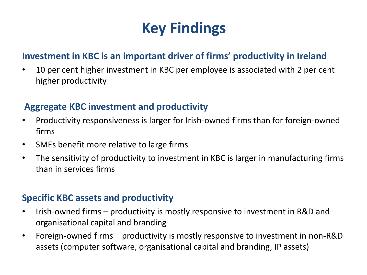## **Key Findings**

#### **Investment in KBC is an important driver of firms' productivity in Ireland**

• 10 per cent higher investment in KBC per employee is associated with 2 per cent higher productivity

#### **Aggregate KBC investment and productivity**

- Productivity responsiveness is larger for Irish-owned firms than for foreign-owned firms
- SMEs benefit more relative to large firms
- The sensitivity of productivity to investment in KBC is larger in manufacturing firms than in services firms

#### **Specific KBC assets and productivity**

- Irish-owned firms productivity is mostly responsive to investment in R&D and organisational capital and branding
- Foreign-owned firms productivity is mostly responsive to investment in non-R&D assets (computer software, organisational capital and branding, IP assets)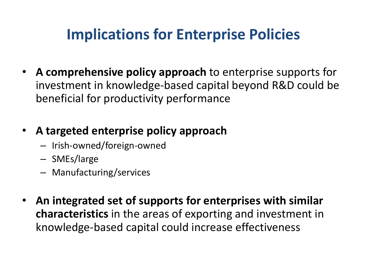### **Implications for Enterprise Policies**

• **A comprehensive policy approach** to enterprise supports for investment in knowledge-based capital beyond R&D could be beneficial for productivity performance

### • **A targeted enterprise policy approach**

- Irish-owned/foreign-owned
- SMEs/large
- Manufacturing/services
- **An integrated set of supports for enterprises with similar characteristics** in the areas of exporting and investment in knowledge-based capital could increase effectiveness